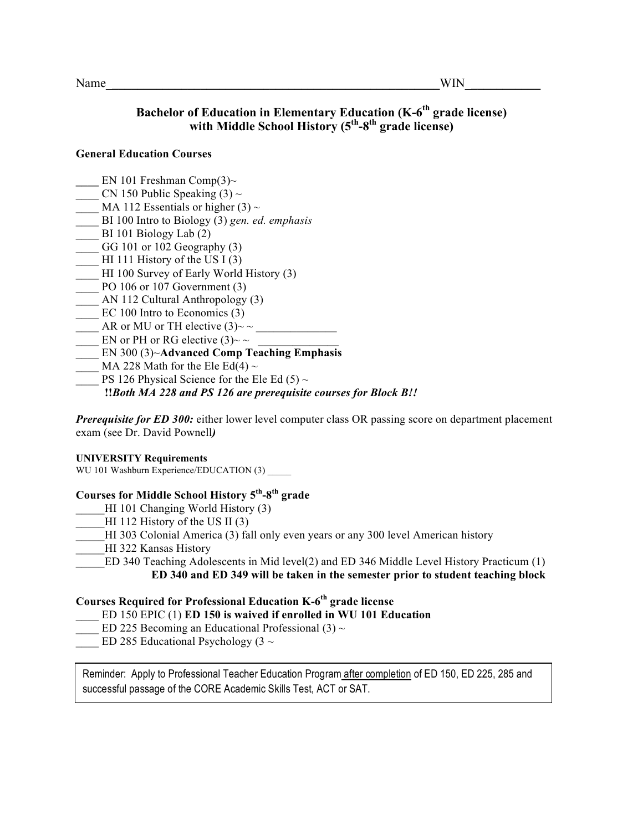# **Bachelor of Education in Elementary Education (K-6<sup>th</sup> grade license) with Middle School History (5th-8th grade license)**

#### **General Education Courses**

- EN 101 Freshman Comp(3)~
- CN 150 Public Speaking  $(3) \sim$
- MA 112 Essentials or higher (3)  $\sim$
- \_\_\_\_ BI 100 Intro to Biology (3) *gen. ed. emphasis*
- BI 101 Biology Lab  $(2)$
- $GG$  101 or 102 Geography  $(3)$
- HI 111 History of the US I  $(3)$
- \_\_\_\_ HI 100 Survey of Early World History (3)
- $\frac{100}{106}$  or 107 Government (3)
- \_\_\_\_ AN 112 Cultural Anthropology (3)
- EC 100 Intro to Economics (3)
- AR or MU or TH elective  $(3)$ ~ ~
- EN or PH or RG elective  $(3)$  ~ ~
- \_\_\_\_ EN 300 (3)~**Advanced Comp Teaching Emphasis**
- MA 228 Math for the Ele Ed(4)  $\sim$
- PS 126 Physical Science for the Ele Ed (5)  $\sim$

## **!!***Both MA 228 and PS 126 are prerequisite courses for Block B!!*

*Prerequisite for ED 300:* either lower level computer class OR passing score on department placement exam (see Dr. David Pownell*)*

#### **UNIVERSITY Requirements**

WU 101 Washburn Experience/EDUCATION (3)

## **Courses for Middle School History 5th-8th grade**

- HI 101 Changing World History (3)
- HI 112 History of the US II  $(3)$
- HI 303 Colonial America (3) fall only even years or any 300 level American history
- HI 322 Kansas History
	- \_\_\_\_\_ED 340 Teaching Adolescents in Mid level(2) and ED 346 Middle Level History Practicum (1) **ED 340 and ED 349 will be taken in the semester prior to student teaching block**

## **Courses Required for Professional Education K-6th grade license**

- \_\_\_\_ ED 150 EPIC (1) **ED 150 is waived if enrolled in WU 101 Education**
- ED 225 Becoming an Educational Professional (3)  $\sim$
- ED 285 Educational Psychology (3  $\sim$

Reminder: Apply to Professional Teacher Education Program after completion of ED 150, ED 225, 285 and successful passage of the CORE Academic Skills Test, ACT or SAT.